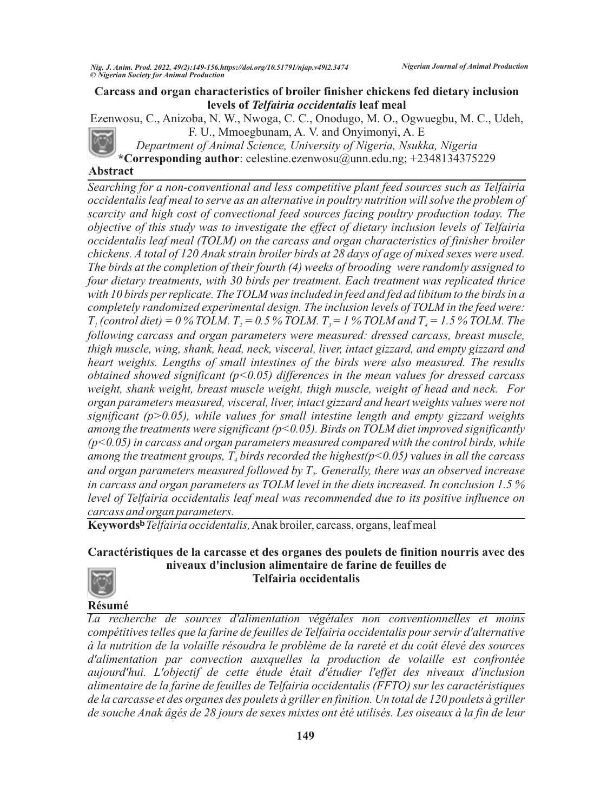## **Carcass and organ characteristics of broiler finisher chickens fed dietary inclusion levels of** *Telfairia occidentalis* **leaf meal**

Ezenwosu, C., Anizoba, N. W., Nwoga, C. C., Onodugo, M. O., Ogwuegbu, M. C., Udeh, F. U., Mmoegbunam, A. V. and Onyimonyi, A. E

*Department of Animal Science, University of Nigeria, Nsukka, Nigeria* **\*Corresponding author**: celestine.ezenwosu@unn.edu.ng; +2348134375229

**Abstract**

*Searching for a non-conventional and less competitive plant feed sources such as Telfairia occidentalis leaf meal to serve as an alternative in poultry nutrition will solve the problem of scarcity and high cost of convectional feed sources facing poultry production today. The objective of this study was to investigate the effect of dietary inclusion levels of Telfairia occidentalis leaf meal (TOLM) on the carcass and organ characteristics of finisher broiler chickens. A total of 120 Anak strain broiler birds at 28 days of age of mixed sexes were used. The birds at the completion of their fourth (4) weeks of brooding were randomly assigned to four dietary treatments, with 30 birds per treatment. Each treatment was replicated thrice with 10 birds per replicate. The TOLM was included in feed and fed ad libitum to the birds in a completely randomized experimental design. The inclusion levels of TOLM in the feed were:*   $T_i$  *(control diet)* = 0 % TOLM.  $T_i$  = 0.5 % TOLM.  $T_i$  = 1 % TOLM and  $T_i$  = 1.5 % TOLM. The *following carcass and organ parameters were measured: dressed carcass, breast muscle, thigh muscle, wing, shank, head, neck, visceral, liver, intact gizzard, and empty gizzard and heart weights. Lengths of small intestines of the birds were also measured. The results obtained showed significant (p<0.05) differences in the mean values for dressed carcass weight, shank weight, breast muscle weight, thigh muscle, weight of head and neck. For organ parameters measured, visceral, liver, intact gizzard and heart weights values were not significant (p>0.05), while values for small intestine length and empty gizzard weights among the treatments were significant (p<0.05). Birds on TOLM diet improved significantly (p<0.05) in carcass and organ parameters measured compared with the control birds, while among the treatment groups,*  $T<sub>4</sub>$  *birds recorded the highest(p<0.05) values in all the carcass and organ parameters measured followed by T . Generally, there was an observed increase <sup>3</sup> in carcass and organ parameters as TOLM level in the diets increased. In conclusion 1.5 % level of Telfairia occidentalis leaf meal was recommended due to its positive influence on carcass and organ parameters.*

**Keywords?***Telfairia occidentalis,*Anak broiler, carcass, organs, leaf meal

# **Caractéristiques de la carcasse et des organes des poulets de finition nourris avec des niveaux d'inclusion alimentaire de farine de feuilles de Telfairia occidentalis**



**Résumé**

*La recherche de sources d'alimentation végétales non conventionnelles et moins compétitives telles que la farine de feuilles de Telfairia occidentalis pour servir d'alternative à la nutrition de la volaille résoudra le problème de la rareté et du coût élevé des sources d'alimentation par convection auxquelles la production de volaille est confrontée aujourd'hui. L'objectif de cette étude était d'étudier l'effet des niveaux d'inclusion alimentaire de la farine de feuilles de Telfairia occidentalis (FFTO) sur les caractéristiques de la carcasse et des organes des poulets à griller en finition. Un total de 120 poulets à griller de souche Anak âgés de 28 jours de sexes mixtes ont été utilisés. Les oiseaux à la fin de leur*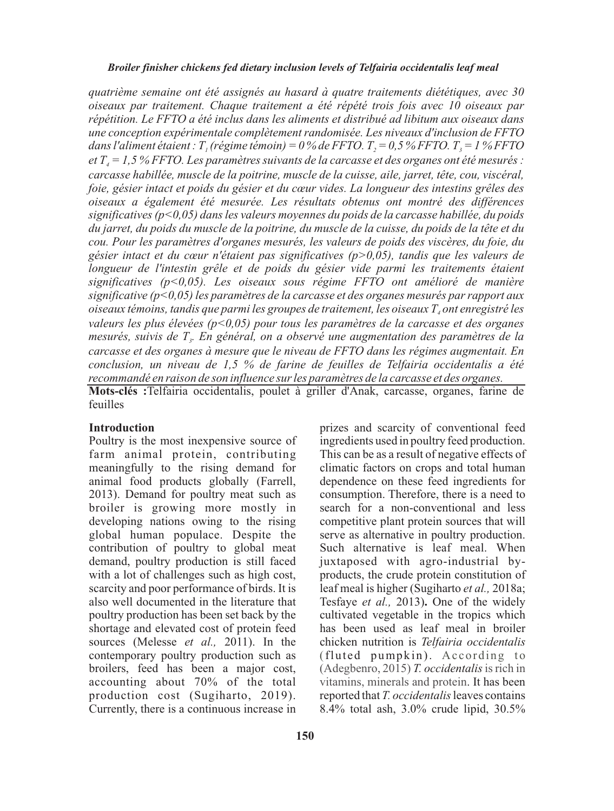#### *Broiler finisher chickens fed dietary inclusion levels of Telfairia occidentalis leaf meal*

*quatrième semaine ont été assignés au hasard à quatre traitements diététiques, avec 30 oiseaux par traitement. Chaque traitement a été répété trois fois avec 10 oiseaux par répétition. Le FFTO a été inclus dans les aliments et distribué ad libitum aux oiseaux dans une conception expérimentale complètement randomisée. Les niveaux d'inclusion de FFTO dans l'aliment étaient : T<sub>1</sub>* (*régime témoin*) = 0 % de FFTO.  $T<sub>2</sub>$  = 0,5 % FFTO.  $T<sub>3</sub>$  = 1 % FFTO *et T = 1,5 % FFTO. Les paramètres suivants de la carcasse et des organes ont été mesurés : <sup>4</sup> carcasse habillée, muscle de la poitrine, muscle de la cuisse, aile, jarret, tête, cou, viscéral, foie, gésier intact et poids du gésier et du cœur vides. La longueur des intestins grêles des oiseaux a également été mesurée. Les résultats obtenus ont montré des différences significatives (p<0,05) dans les valeurs moyennes du poids de la carcasse habillée, du poids du jarret, du poids du muscle de la poitrine, du muscle de la cuisse, du poids de la tête et du cou. Pour les paramètres d'organes mesurés, les valeurs de poids des viscères, du foie, du gésier intact et du cœur n'étaient pas significatives (p>0,05), tandis que les valeurs de longueur de l'intestin grêle et de poids du gésier vide parmi les traitements étaient significatives (p<0,05). Les oiseaux sous régime FFTO ont amélioré de manière significative (p<0,05) les paramètres de la carcasse et des organes mesurés par rapport aux oiseaux témoins, tandis que parmi les groupes de traitement, les oiseaux T ont enregistré les <sup>4</sup> valeurs les plus élevées (p<0,05) pour tous les paramètres de la carcasse et des organes mesurés, suivis de T . En général, on a observé une augmentation des paramètres de la <sup>3</sup> carcasse et des organes à mesure que le niveau de FFTO dans les régimes augmentait. En conclusion, un niveau de 1,5 % de farine de feuilles de Telfairia occidentalis a été recommandé en raison de son influence sur les paramètres de la carcasse et des organes.*

**Mots-clés :**Telfairia occidentalis, poulet à griller d'Anak, carcasse, organes, farine de feuilles

## **Introduction**

Poultry is the most inexpensive source of farm animal protein, contributing meaningfully to the rising demand for animal food products globally (Farrell, 2013). Demand for poultry meat such as broiler is growing more mostly in developing nations owing to the rising global human populace. Despite the contribution of poultry to global meat demand, poultry production is still faced with a lot of challenges such as high cost, scarcity and poor performance of birds. It is also well documented in the literature that poultry production has been set back by the shortage and elevated cost of protein feed sources (Melesse *et al.,* 2011). In the contemporary poultry production such as broilers, feed has been a major cost, accounting about 70% of the total production cost (Sugiharto, 2019). Currently, there is a continuous increase in

prizes and scarcity of conventional feed ingredients used in poultry feed production. This can be as a result of negative effects of climatic factors on crops and total human dependence on these feed ingredients for consumption. Therefore, there is a need to search for a non-conventional and less competitive plant protein sources that will serve as alternative in poultry production. Such alternative is leaf meal. When juxtaposed with agro-industrial byproducts, the crude protein constitution of leaf meal is higher (Sugiharto *et al.,* 2018a; Tesfaye *et al.,* 2013)**.** One of the widely cultivated vegetable in the tropics which has been used as leaf meal in broiler chicken nutrition is *Telfairia occidentalis*  (fluted pumpkin). According to (Adegbenro, 2015) T. occidentalis is rich in vitamins, minerals and protein. It has been reported that *T. occidentalis* leaves contains 8.4% total ash, 3.0% crude lipid, 30.5%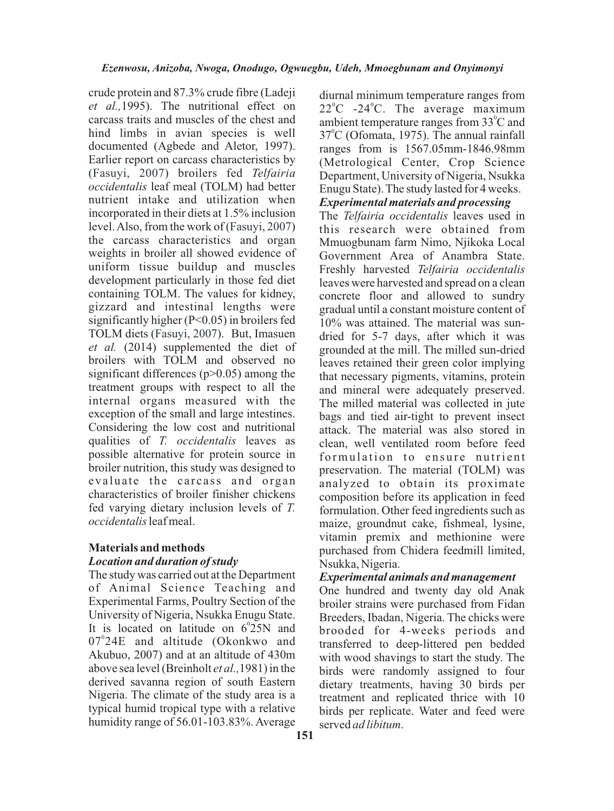crude protein and 87.3% crude fibre (Ladeji *et al.,*1995). The nutritional effect on carcass traits and muscles of the chest and hind limbs in avian species is well documented (Agbede and Aletor, 1997). Earlier report on carcass characteristics by (Fasuyi, 2007) broilers fed Telfairia *occidentalis* leaf meal (TOLM) had better nutrient intake and utilization when incorporated in their diets at 1.5% inclusion level. Also, from the work of (Fasuyi, 2007) the carcass characteristics and organ weights in broiler all showed evidence of uniform tissue buildup and muscles development particularly in those fed diet containing TOLM. The values for kidney, gizzard and intestinal lengths were significantly higher (P<0.05) in broilers fed TOLM diets (Fasuyi, 2007). But, Imasuen *et al.* (2014) supplemented the diet of broilers with TOLM and observed no significant differences ( $p$  $>$ 0.05) among the treatment groups with respect to all the internal organs measured with the exception of the small and large intestines. Considering the low cost and nutritional qualities of *T. occidentalis* leaves as possible alternative for protein source in broiler nutrition, this study was designed to evaluate the carcass and organ characteristics of broiler finisher chickens fed varying dietary inclusion levels of *T. occidentalis*leaf meal.

## **Materials and methods** *Location and duration of study*

The study was carried out at the Department of Animal Science Teaching and Experimental Farms, Poultry Section of the University of Nigeria, Nsukka Enugu State. It is located on latitude on  $6^{\circ}25N$  and 07°24E and altitude (Okonkwo and Akubuo, 2007) and at an altitude of 430m above sea level (Breinholt *et al.,*1981) in the derived savanna region of south Eastern Nigeria. The climate of the study area is a typical humid tropical type with a relative humidity range of 56.01-103.83%. Average

diurnal minimum temperature ranges from  $22^{\circ}$ C -24 $^{\circ}$ C. The average maximum ambient temperature ranges from 33°C and 37<sup>°</sup>C (Ofomata, 1975). The annual rainfall ranges from is 1567.05mm-1846.98mm (Metrological Center, Crop Science Department, University of Nigeria, Nsukka Enugu State). The study lasted for 4 weeks. *Experimental materials and processing*

The *Telfairia occidentalis* leaves used in this research were obtained from Mmuogbunam farm Nimo, Njikoka Local Government Area of Anambra State. Freshly harvested *Telfairia occidentalis* leaves were harvested and spread on a clean concrete floor and allowed to sundry gradual until a constant moisture content of 10% was attained. The material was sundried for 5-7 days, after which it was grounded at the mill. The milled sun-dried leaves retained their green color implying that necessary pigments, vitamins, protein and mineral were adequately preserved. The milled material was collected in jute bags and tied air-tight to prevent insect attack. The material was also stored in clean, well ventilated room before feed formulation to ensure nutrient preservation. The material (TOLM) was analyzed to obtain its proximate composition before its application in feed formulation. Other feed ingredients such as maize, groundnut cake, fishmeal, lysine, vitamin premix and methionine were purchased from Chidera feedmill limited, Nsukka, Nigeria.

## *Experimental animals and management*

One hundred and twenty day old Anak broiler strains were purchased from Fidan Breeders, Ibadan, Nigeria. The chicks were brooded for 4-weeks periods and transferred to deep-littered pen bedded with wood shavings to start the study. The birds were randomly assigned to four dietary treatments, having 30 birds per treatment and replicated thrice with 10 birds per replicate. Water and feed were served *ad libitum*.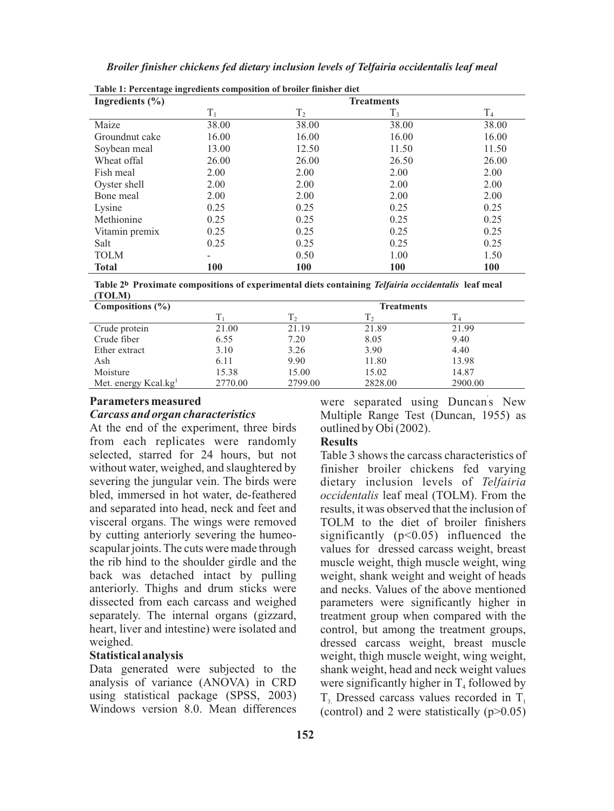| Table 1: Percentage ingredients composition of broiler finisher diet |                   |                |            |                |  |  |
|----------------------------------------------------------------------|-------------------|----------------|------------|----------------|--|--|
| Ingredients $(\% )$                                                  | <b>Treatments</b> |                |            |                |  |  |
|                                                                      | $T_1$             | T <sub>2</sub> | $T_3$      | T <sub>4</sub> |  |  |
| Maize                                                                | 38.00             | 38.00          | 38.00      | 38.00          |  |  |
| Groundnut cake                                                       | 16.00             | 16.00          | 16.00      | 16.00          |  |  |
| Soybean meal                                                         | 13.00             | 12.50          | 11.50      | 11.50          |  |  |
| Wheat offal                                                          | 26.00             | 26.00          | 26.50      | 26.00          |  |  |
| Fish meal                                                            | 2.00              | 2.00           | 2.00       | 2.00           |  |  |
| Oyster shell                                                         | 2.00              | 2.00           | 2.00       | 2.00           |  |  |
| Bone meal                                                            | 2.00              | 2.00           | 2.00       | 2.00           |  |  |
| Lysine                                                               | 0.25              | 0.25           | 0.25       | 0.25           |  |  |
| Methionine                                                           | 0.25              | 0.25           | 0.25       | 0.25           |  |  |
| Vitamin premix                                                       | 0.25              | 0.25           | 0.25       | 0.25           |  |  |
| Salt                                                                 | 0.25              | 0.25           | 0.25       | 0.25           |  |  |
| <b>TOLM</b>                                                          | -                 | 0.50           | 1.00       | 1.50           |  |  |
| <b>Total</b>                                                         | 100               | 100            | <b>100</b> | 100            |  |  |

*Broiler finisher chickens fed dietary inclusion levels of Telfairia occidentalis leaf meal*

|        | Table 2 <sup>b</sup> Proximate compositions of experimental diets containing Telfairia occidentalis leaf meal |  |  |
|--------|---------------------------------------------------------------------------------------------------------------|--|--|
| (TOLM) |                                                                                                               |  |  |

| Compositions $(\% )$             |         |                | <b>Treatments</b> |         |
|----------------------------------|---------|----------------|-------------------|---------|
|                                  |         | T <sub>2</sub> |                   |         |
| Crude protein                    | 21.00   | 21.19          | 21.89             | 21.99   |
| Crude fiber                      | 6.55    | 7.20           | 8.05              | 9.40    |
| Ether extract                    | 3.10    | 3.26           | 3.90              | 4.40    |
| Ash                              | 6.11    | 9.90           | 11.80             | 13.98   |
| Moisture                         | 15.38   | 15.00          | 15.02             | 14.87   |
| Met. energy Kcal.kg <sup>1</sup> | 2770.00 | 2799.00        | 2828.00           | 2900.00 |

## **Parameters measured**

## *Carcass and organ characteristics*

At the end of the experiment, three birds from each replicates were randomly selected, starred for 24 hours, but not without water, weighed, and slaughtered by severing the jungular vein. The birds were bled, immersed in hot water, de-feathered and separated into head, neck and feet and visceral organs. The wings were removed by cutting anteriorly severing the humeoscapular joints. The cuts were made through the rib hind to the shoulder girdle and the back was detached intact by pulling anteriorly. Thighs and drum sticks were dissected from each carcass and weighed separately. The internal organs (gizzard, heart, liver and intestine) were isolated and weighed.

## **Statistical analysis**

Data generated were subjected to the analysis of variance (ANOVA) in CRD using statistical package (SPSS, 2003) Windows version 8.0. Mean differences

were separated using Duncan's New Multiple Range Test (Duncan, 1955) as outlined by Obi (2002).

# **Results**

Table 3 shows the carcass characteristics of finisher broiler chickens fed varying dietary inclusion levels of *Telfairia occidentalis* leaf meal (TOLM). From the results, it was observed that the inclusion of TOLM to the diet of broiler finishers significantly  $(p<0.05)$  influenced the values for dressed carcass weight, breast muscle weight, thigh muscle weight, wing weight, shank weight and weight of heads and necks. Values of the above mentioned parameters were significantly higher in treatment group when compared with the control, but among the treatment groups, dressed carcass weight, breast muscle weight, thigh muscle weight, wing weight, shank weight, head and neck weight values were significantly higher in  $T<sub>4</sub>$  followed by  $T<sub>3</sub>$  Dressed carcass values recorded in T<sub>1</sub> (control) and 2 were statistically  $(p>0.05)$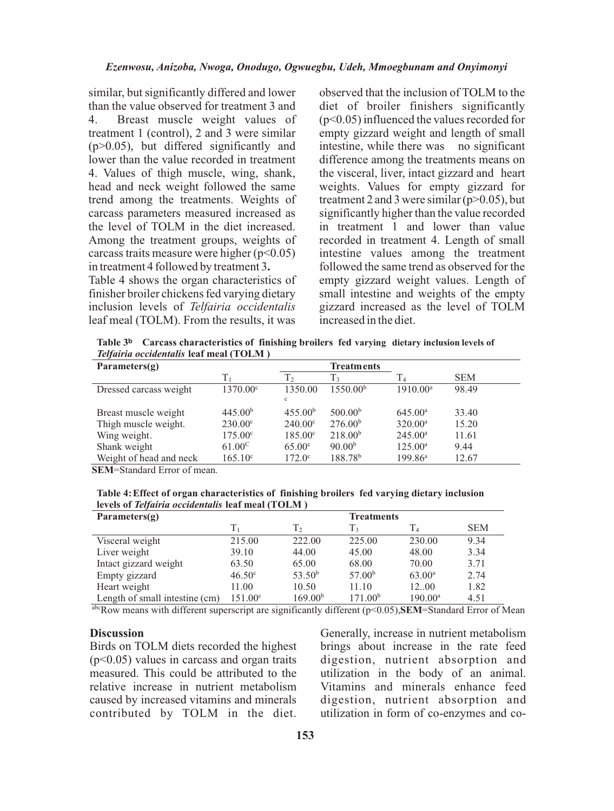similar, but significantly differed and lower than the value observed for treatment 3 and 4. Breast muscle weight values of treatment 1 (control), 2 and 3 were similar (p>0.05), but differed significantly and lower than the value recorded in treatment 4. Values of thigh muscle, wing, shank, head and neck weight followed the same trend among the treatments. Weights of carcass parameters measured increased as the level of TOLM in the diet increased. Among the treatment groups, weights of carcass traits measure were higher  $(p<0.05)$ in treatment 4 followed by treatment 3**.**

Table 4 shows the organ characteristics of finisher broiler chickens fed varying dietary inclusion levels of *Telfairia occidentalis* leaf meal (TOLM). From the results, it was

observed that the inclusion of TOLM to the diet of broiler finishers significantly (p<0.05) influenced the values recorded for empty gizzard weight and length of small intestine, while there was no significant difference among the treatments means on the visceral, liver, intact gizzard and heart weights. Values for empty gizzard for treatment 2 and 3 were similar  $(p>0.05)$ , but significantly higher than the value recorded in treatment 1 and lower than value recorded in treatment 4. Length of small intestine values among the treatment followed the same trend as observed for the empty gizzard weight values. Length of small intestine and weights of the empty gizzard increased as the level of TOLM increased in the diet.

**Table 3? Carcass characteristics of finishing broilers fed varying dietary inclusion levels of**  *Telfairia occidentalis* **leaf meal (TOLM )**

| Parameters $(g)$        |                     | <b>Treatments</b>   |                      |                     |            |
|-------------------------|---------------------|---------------------|----------------------|---------------------|------------|
|                         | Т,                  | $T_2$               | $T_{3}$              | $\rm T_4$           | <b>SEM</b> |
| Dressed carcass weight  | 1370.00°            | 1350.00             | 1550.00 <sup>b</sup> | $1910.00^a$         | 98.49      |
|                         |                     | $\mathbf{c}$        |                      |                     |            |
| Breast muscle weight    | 445.00 <sup>b</sup> | 455.00 <sup>b</sup> | 500.00 <sup>b</sup>  | 645.00 <sup>a</sup> | 33.40      |
| Thigh muscle weight.    | $230.00^{\circ}$    | $240.00^{\circ}$    | 276.00 <sup>b</sup>  | $320.00^a$          | 15.20      |
| Wing weight.            | $175.00^{\circ}$    | $185.00^{\circ}$    | 218.00 <sup>b</sup>  | $245.00^a$          | 11.61      |
| Shank weight            | $61.00^{\circ}$     | 65.00 <sup>c</sup>  | 90.00 <sup>b</sup>   | $125.00^{\rm a}$    | 9.44       |
| Weight of head and neck | $165.10^{\circ}$    | $172.0^{\circ}$     | 188.78 <sup>b</sup>  | $199.86^{\rm a}$    | 12.67      |

**SEM**=Standard Error of mean.

**Table 4: Effect of organ characteristics of finishing broilers fed varying dietary inclusion levels of** *Telfairia occidentalis* **leaf meal (TOLM )**

| Parameters $(g)$               |                  |                     | <b>Treatments</b>   |                  |            |
|--------------------------------|------------------|---------------------|---------------------|------------------|------------|
|                                | Tı               | T <sub>2</sub>      | T٦                  | T4               | <b>SEM</b> |
| Visceral weight                | 215.00           | 222.00              | 225.00              | 230.00           | 9.34       |
| Liver weight                   | 39.10            | 44.00               | 45.00               | 48.00            | 3.34       |
| Intact gizzard weight          | 63.50            | 65.00               | 68.00               | 70.00            | 3.71       |
| Empty gizzard                  | $46.50^{\circ}$  | 53.50 <sup>b</sup>  | 57.00 <sup>b</sup>  | $63.00^a$        | 2.74       |
| Heart weight                   | 11.00            | 10.50               | 11.10               | 12.00            | 1.82       |
| Length of small intestine (cm) | $151.00^{\circ}$ | 169.00 <sup>b</sup> | 171.00 <sup>b</sup> | $190.00^{\rm a}$ | 4.51       |

abcRow means with different superscript are significantly different (p<0.05),**SEM**=Standard Error of Mean

### **Discussion**

Birds on TOLM diets recorded the highest (p<0.05) values in carcass and organ traits measured. This could be attributed to the relative increase in nutrient metabolism caused by increased vitamins and minerals contributed by TOLM in the diet.

Generally, increase in nutrient metabolism brings about increase in the rate feed digestion, nutrient absorption and utilization in the body of an animal. Vitamins and minerals enhance feed digestion, nutrient absorption and utilization in form of co-enzymes and co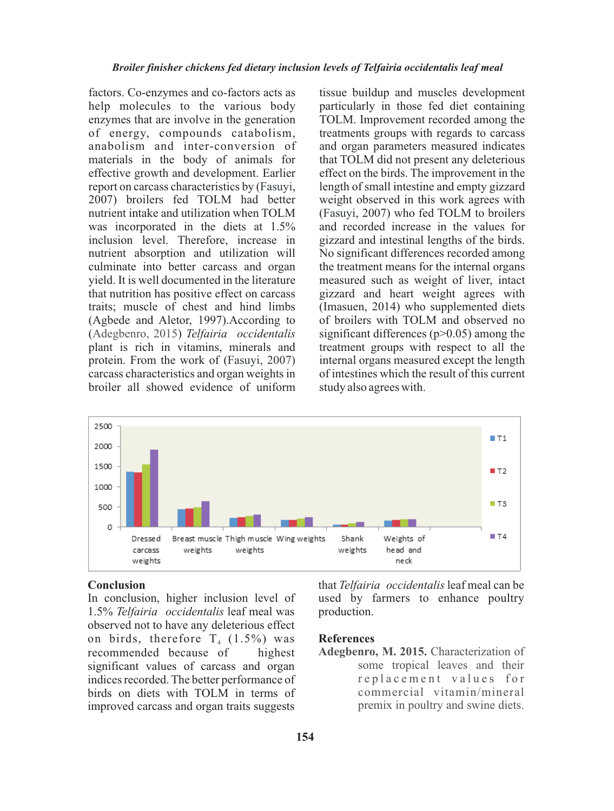factors. Co-enzymes and co-factors acts as help molecules to the various body enzymes that are involve in the generation of energy, compounds catabolism, anabolism and inter-conversion of materials in the body of animals for effective growth and development. Earlier report on carcass characteristics by (Fasuyi, 2007) broilers fed TOLM had better nutrient intake and utilization when TOLM was incorporated in the diets at 1.5% inclusion level. Therefore, increase in nutrient absorption and utilization will culminate into better carcass and organ yield. It is well documented in the literature that nutrition has positive effect on carcass traits; muscle of chest and hind limbs (Agbede and Aletor, 1997).According to (Adegbenro, 2015) Telfairia occidentalis plant is rich in vitamins, minerals and protein. From the work of ( Fasuyi, 2007) carcass characteristics and organ weights in broiler all showed evidence of uniform

tissue buildup and muscles development particularly in those fed diet containing TOLM. Improvement recorded among the treatments groups with regards to carcass and organ parameters measured indicates that TOLM did not present any deleterious effect on the birds. The improvement in the length of small intestine and empty gizzard weight observed in this work agrees with (Fasuyi, 2007) who fed TOLM to broilers and recorded increase in the values for gizzard and intestinal lengths of the birds. No significant differences recorded among the treatment means for the internal organs measured such as weight of liver, intact gizzard and heart weight agrees with (Imasuen, 2014) who supplemented diets of broilers with TOLM and observed no significant differences ( $p > 0.05$ ) among the treatment groups with respect to all the internal organs measured except the length of intestines which the result of this current study also agrees with.



## **Conclusion**

In conclusion, higher inclusion level of 1.5% *Telfairia occidentalis* leaf meal was observed not to have any deleterious effect on birds, therefore  $T_4$  (1.5%) was recommended because of highest significant values of carcass and organ indices recorded. The better performance of birds on diets with TOLM in terms of improved carcass and organ traits suggests that *Telfairia occidentalis* leaf meal can be used by farmers to enhance poultry production.

#### **References**

**Adegbenro, M. 2015.** Characterization of some tropical leaves and their r e placement values for commercial vitamin/mineral premix in poultry and swine diets.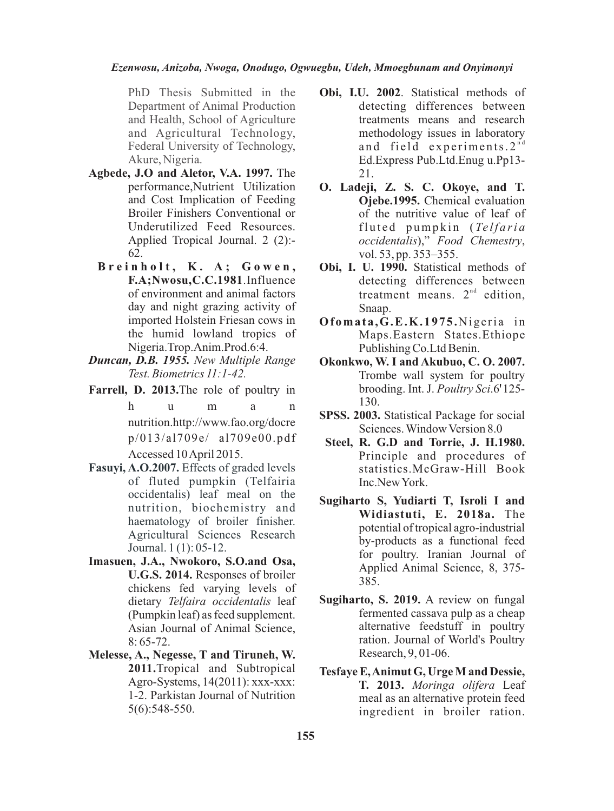### *Ezenwosu, Anizoba, Nwoga, Onodugo, Ogwuegbu, Udeh, Mmoegbunam and Onyimonyi*

PhD Thesis Submitted in the Department of Animal Production and Health, School of Agriculture and Agricultural Technology, Federal University of Technology, Akure, Nigeria.

- **Agbede, J.O and Aletor, V.A. 1997.** The performance,Nutrient Utilization and Cost Implication of Feeding Broiler Finishers Conventional or Underutilized Feed Resources. Applied Tropical Journal. 2 (2):- 62.
	- **B r e i n h o l t , K . A ; G o w e n , F.A;Nwosu,C.C.1981**.Influence of environment and animal factors day and night grazing activity of imported Holstein Friesan cows in the humid lowland tropics of Nigeria.Trop.Anim.Prod.6:4.
- *Duncan, D.B. 1955. New Multiple Range Test. Biometrics 11:1-42.*
- **Farrell, D. 2013.**The role of poultry in h u m a n nutrition.http://www.fao.org/docre p/013/al709e/ al709e00.pdf Accessed 10 April 2015.
- **Fasuyi, A.O.2007.** Effects of graded levels of fluted pumpkin (Telfairia occidentalis) leaf meal on the nutrition, biochemistry and haematology of broiler finisher. Agricultural Sciences Research Journal. 1 (1): 05-12.
- **Imasuen, J.A., Nwokoro, S.O.and Osa, U.G.S. 2014.** Responses of broiler chickens fed varying levels of dietary *Telfaira occidentalis* leaf (Pumpkin leaf) as feed supplement. Asian Journal of Animal Science, 8: 65-72.
- **Melesse, A., Negesse, T and Tiruneh, W. 2011.**Tropical and Subtropical Agro-Systems, 14(2011): xxx-xxx: 1-2. Parkistan Journal of Nutrition 5(6):548-550.
- **Obi, I.U. 2002**. Statistical methods of detecting differences between treatments means and research methodology issues in laboratory and field experiments.  $2^{nd}$ Ed.Express Pub.Ltd.Enug u.Pp13- 21.
- **O. Ladeji, Z. S. C. Okoye, and T. Ojebe.1995.** Chemical evaluation of the nutritive value of leaf of fluted pumpkin (*Telfaria occidentalis*)," *Food Chemestry*, vol. 53, pp. 353–355.
- **Obi, I. U. 1990.** Statistical methods of detecting differences between treatment means.  $2<sup>nd</sup>$  edition, Snaap.
- Ofomata, G.E.K.1975. Nigeria in Maps.Eastern States.Ethiope Publishing Co.Ltd Benin.
- **Okonkwo, W. I and Akubuo, C. O. 2007.** Trombe wall system for poultry brooding. Int. J. *Poultry Sci*.6?125- 130.
- **SPSS. 2003.** Statistical Package for social Sciences. Window Version 8.0
- **Steel, R. G.D and Torrie, J. H.1980.** Principle and procedures of statistics.McGraw-Hill Book Inc.New York.
- **Sugiharto S, Yudiarti T, Isroli I and Widiastuti, E. 2018a.** The potential of tropical agro-industrial by-products as a functional feed for poultry. Iranian Journal of Applied Animal Science, 8, 375- 385.
- **Sugiharto, S. 2019.** A review on fungal fermented cassava pulp as a cheap alternative feedstuff in poultry ration. Journal of World's Poultry Research, 9, 01-06.
- **Tesfaye E, Animut G, Urge M and Dessie, T. 2013.** *Moringa olifera* Leaf meal as an alternative protein feed ingredient in broiler ration.